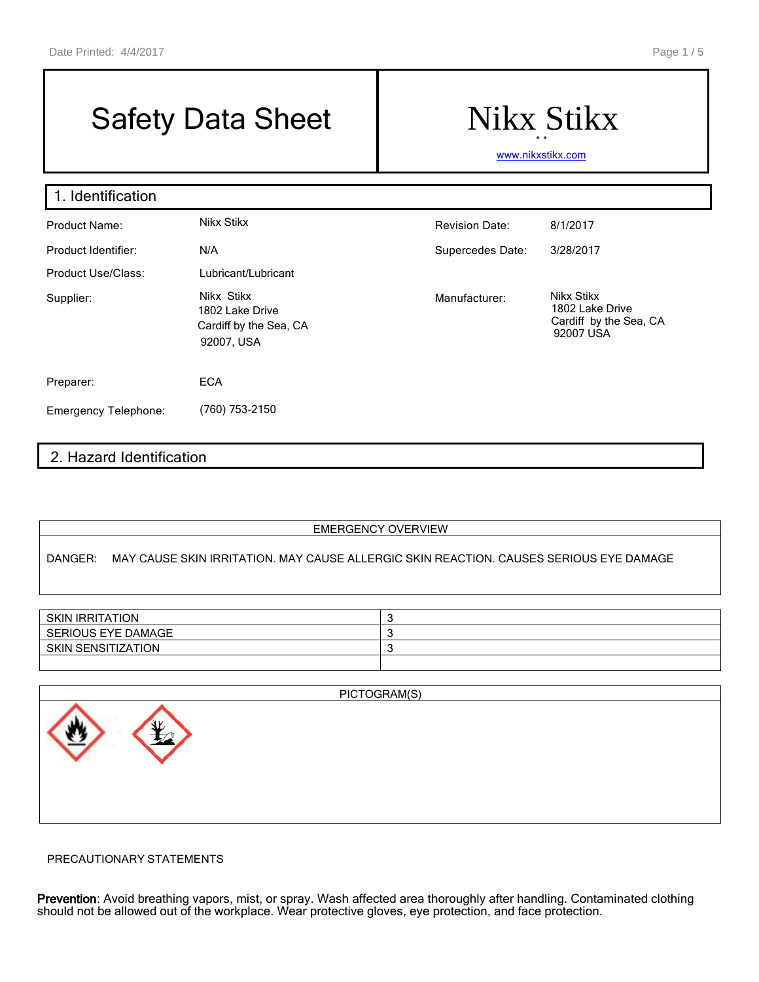## Safety Data Sheet | Nikx Stikx

# \* \*

[www.nikxstikx.com](http://www.nikxstikx.com/)

| 1. Identification           |                                                                       |                       |                                                                      |  |  |
|-----------------------------|-----------------------------------------------------------------------|-----------------------|----------------------------------------------------------------------|--|--|
| Product Name:               | Nikx Stikx                                                            | <b>Revision Date:</b> | 8/1/2017                                                             |  |  |
| Product Identifier:         | N/A                                                                   | Supercedes Date:      | 3/28/2017                                                            |  |  |
| Product Use/Class:          | Lubricant/Lubricant                                                   |                       |                                                                      |  |  |
| Supplier:                   | Nikx Stikx<br>1802 Lake Drive<br>Cardiff by the Sea, CA<br>92007, USA | Manufacturer:         | Nikx Stikx<br>1802 Lake Drive<br>Cardiff by the Sea, CA<br>92007 USA |  |  |
| Preparer:                   | <b>ECA</b>                                                            |                       |                                                                      |  |  |
| <b>Emergency Telephone:</b> | (760) 753-2150                                                        |                       |                                                                      |  |  |

## 2. Hazard Identification

#### EMERGENCY OVERVIEW

DANGER: MAY CAUSE SKIN IRRITATION. MAY CAUSE ALLERGIC SKIN REACTION. CAUSES SERIOUS EYE DAMAGE

| <b>SKIN IRRITATION</b> |  |
|------------------------|--|
| SERIOUS EYE DAMAGE     |  |
| SKIN SENSITIZATION     |  |
|                        |  |



#### PRECAUTIONARY STATEMENTS

Prevention: Avoid breathing vapors, mist, or spray. Wash affected area thoroughly after handling. Contaminated clothing should not be allowed out of the workplace. Wear protective gloves, eye protection, and face protection.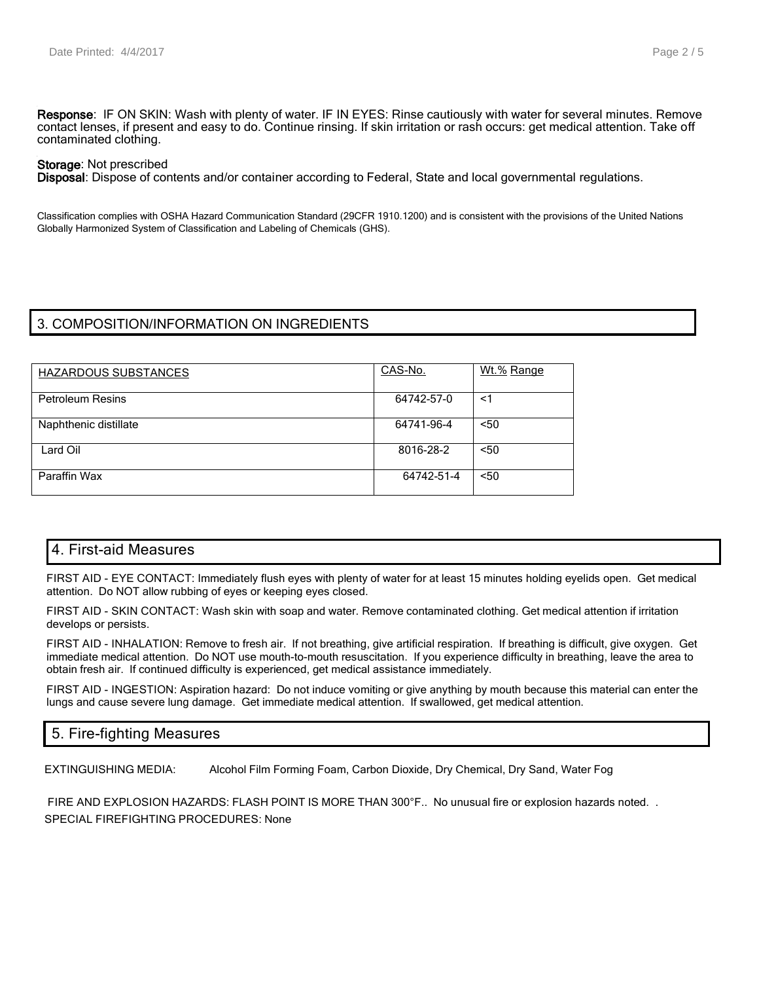Response: IF ON SKIN: Wash with plenty of water. IF IN EYES: Rinse cautiously with water for several minutes. Remove contact lenses, if present and easy to do. Continue rinsing. If skin irritation or rash occurs: get medical attention. Take off contaminated clothing.

#### Storage: Not prescribed

Disposal: Dispose of contents and/or container according to Federal, State and local governmental regulations.

Classification complies with OSHA Hazard Communication Standard (29CFR 1910.1200) and is consistent with the provisions of the United Nations Globally Harmonized System of Classification and Labeling of Chemicals (GHS).

#### 3. COMPOSITION/INFORMATION ON INGREDIENTS

| HAZARDOUS SUBSTANCES    | CAS-No.    | Wt.% Range |
|-------------------------|------------|------------|
| <b>Petroleum Resins</b> | 64742-57-0 | <1         |
| Naphthenic distillate   | 64741-96-4 | < 50       |
| Lard Oil                | 8016-28-2  | $50$       |
| Paraffin Wax            | 64742-51-4 | $50$       |

## 4. First-aid Measures

FIRST AID - EYE CONTACT: Immediately flush eyes with plenty of water for at least 15 minutes holding eyelids open. Get medical attention. Do NOT allow rubbing of eyes or keeping eyes closed.

FIRST AID - SKIN CONTACT: Wash skin with soap and water. Remove contaminated clothing. Get medical attention if irritation develops or persists.

FIRST AID - INHALATION: Remove to fresh air. If not breathing, give artificial respiration. If breathing is difficult, give oxygen. Get immediate medical attention. Do NOT use mouth-to-mouth resuscitation. If you experience difficulty in breathing, leave the area to obtain fresh air. If continued difficulty is experienced, get medical assistance immediately.

FIRST AID - INGESTION: Aspiration hazard: Do not induce vomiting or give anything by mouth because this material can enter the lungs and cause severe lung damage. Get immediate medical attention. If swallowed, get medical attention.

## 5. Fire-fighting Measures

EXTINGUISHING MEDIA: Alcohol Film Forming Foam, Carbon Dioxide, Dry Chemical, Dry Sand, Water Fog

FIRE AND EXPLOSION HAZARDS: FLASH POINT IS MORE THAN 300°F.. No unusual fire or explosion hazards noted. . SPECIAL FIREFIGHTING PROCEDURES: None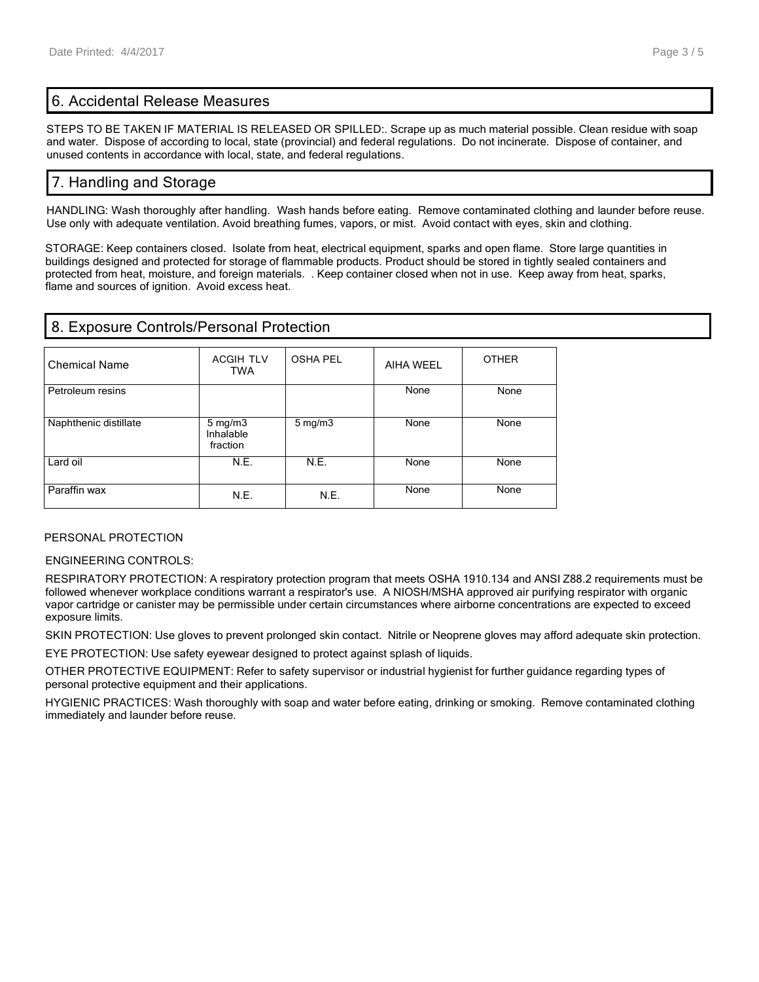## 6. Accidental Release Measures

STEPS TO BE TAKEN IF MATERIAL IS RELEASED OR SPILLED:. Scrape up as much material possible. Clean residue with soap and water. Dispose of according to local, state (provincial) and federal regulations. Do not incinerate. Dispose of container, and unused contents in accordance with local, state, and federal regulations.

## 7. Handling and Storage

HANDLING: Wash thoroughly after handling. Wash hands before eating. Remove contaminated clothing and launder before reuse. Use only with adequate ventilation. Avoid breathing fumes, vapors, or mist. Avoid contact with eyes, skin and clothing.

STORAGE: Keep containers closed. Isolate from heat, electrical equipment, sparks and open flame. Store large quantities in buildings designed and protected for storage of flammable products. Product should be stored in tightly sealed containers and protected from heat, moisture, and foreign materials. . Keep container closed when not in use. Keep away from heat, sparks, flame and sources of ignition. Avoid excess heat.

## 8. Exposure Controls/Personal Protection

| <b>Chemical Name</b>  | <b>ACGIH TLV</b><br>TWA                   | <b>OSHA PEL</b>  | AIHA WEEL | <b>OTHER</b> |
|-----------------------|-------------------------------------------|------------------|-----------|--------------|
| Petroleum resins      |                                           |                  | None      | None         |
| Naphthenic distillate | $5 \text{ mg/m}$<br>Inhalable<br>fraction | $5 \text{ mg/m}$ | None      | None         |
| Lard oil              | N.E.                                      | N.E.             | None      | None         |
| Paraffin wax          | N.E.                                      | N.E.             | None      | None         |

#### PERSONAL PROTECTION

#### ENGINEERING CONTROLS:

RESPIRATORY PROTECTION: A respiratory protection program that meets OSHA 1910.134 and ANSI Z88.2 requirements must be followed whenever workplace conditions warrant a respirator's use. A NIOSH/MSHA approved air purifying respirator with organic vapor cartridge or canister may be permissible under certain circumstances where airborne concentrations are expected to exceed exposure limits.

SKIN PROTECTION: Use gloves to prevent prolonged skin contact. Nitrile or Neoprene gloves may afford adequate skin protection.

EYE PROTECTION: Use safety eyewear designed to protect against splash of liquids.

OTHER PROTECTIVE EQUIPMENT: Refer to safety supervisor or industrial hygienist for further guidance regarding types of personal protective equipment and their applications.

HYGIENIC PRACTICES: Wash thoroughly with soap and water before eating, drinking or smoking. Remove contaminated clothing immediately and launder before reuse.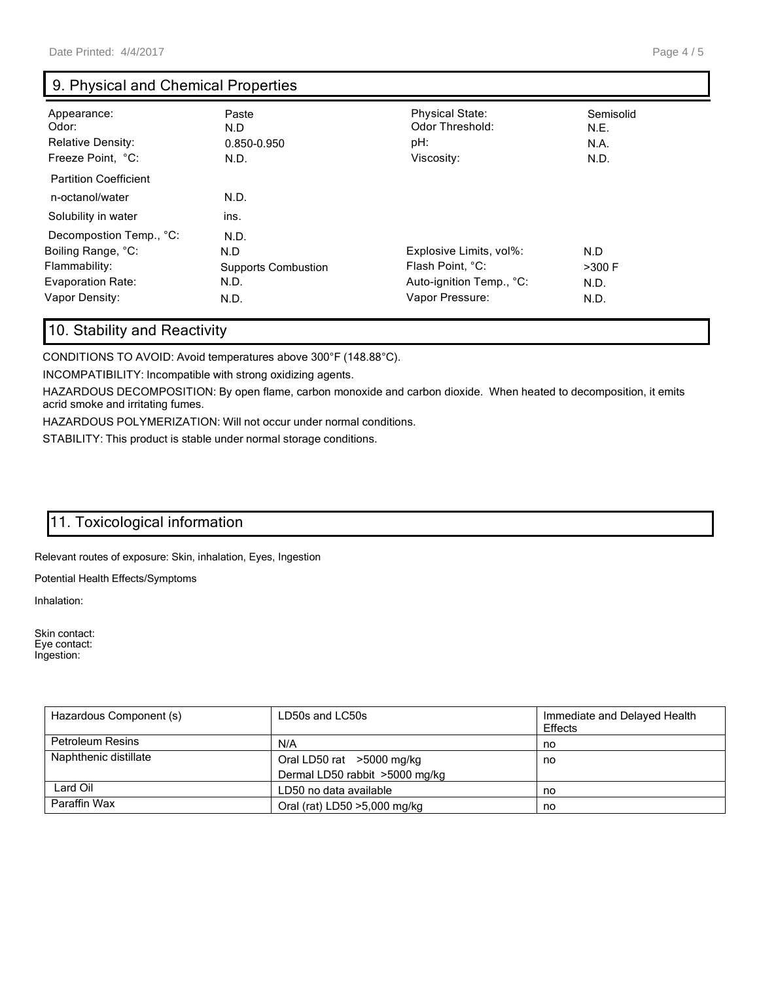## 9. Physical and Chemical Properties

| Appearance:<br>Odor:<br><b>Relative Density:</b><br>Freeze Point, °C: | Paste<br>N.D<br>0.850-0.950<br>N.D. | <b>Physical State:</b><br>Odor Threshold:<br>pH:<br>Viscosity: | Semisolid<br>N.E.<br>N.A.<br>N.D. |
|-----------------------------------------------------------------------|-------------------------------------|----------------------------------------------------------------|-----------------------------------|
| <b>Partition Coefficient</b>                                          |                                     |                                                                |                                   |
| n-octanol/water                                                       | N.D.                                |                                                                |                                   |
| Solubility in water                                                   | ins.                                |                                                                |                                   |
| Decompostion Temp., °C:                                               | N.D.                                |                                                                |                                   |
| Boiling Range, °C:                                                    | N.D                                 | Explosive Limits, vol%:                                        | N.D                               |
| Flammability:                                                         | <b>Supports Combustion</b>          | Flash Point, °C:                                               | $>300$ F                          |
| Evaporation Rate:                                                     | N.D.                                | Auto-ignition Temp., °C:                                       | N.D.                              |
| Vapor Density:                                                        | N.D.                                | Vapor Pressure:                                                | N.D.                              |

## 10. Stability and Reactivity

CONDITIONS TO AVOID: Avoid temperatures above 300°F (148.88°C).

INCOMPATIBILITY: Incompatible with strong oxidizing agents.

HAZARDOUS DECOMPOSITION: By open flame, carbon monoxide and carbon dioxide. When heated to decomposition, it emits acrid smoke and irritating fumes.

HAZARDOUS POLYMERIZATION: Will not occur under normal conditions.

STABILITY: This product is stable under normal storage conditions.

## 11. Toxicological information

Relevant routes of exposure: Skin, inhalation, Eyes, Ingestion

Potential Health Effects/Symptoms

Inhalation:

Skin contact: Eye contact: Ingestion:

| Hazardous Component (s) | LD50s and LC50s                | Immediate and Delayed Health<br>Effects |
|-------------------------|--------------------------------|-----------------------------------------|
| <b>Petroleum Resins</b> | N/A                            | no                                      |
| Naphthenic distillate   | Oral LD50 rat >5000 mg/kg      | no                                      |
|                         | Dermal LD50 rabbit >5000 mg/kg |                                         |
| Lard Oil                | LD50 no data available         | no                                      |
| Paraffin Wax            | Oral (rat) LD50 >5,000 mg/kg   | no                                      |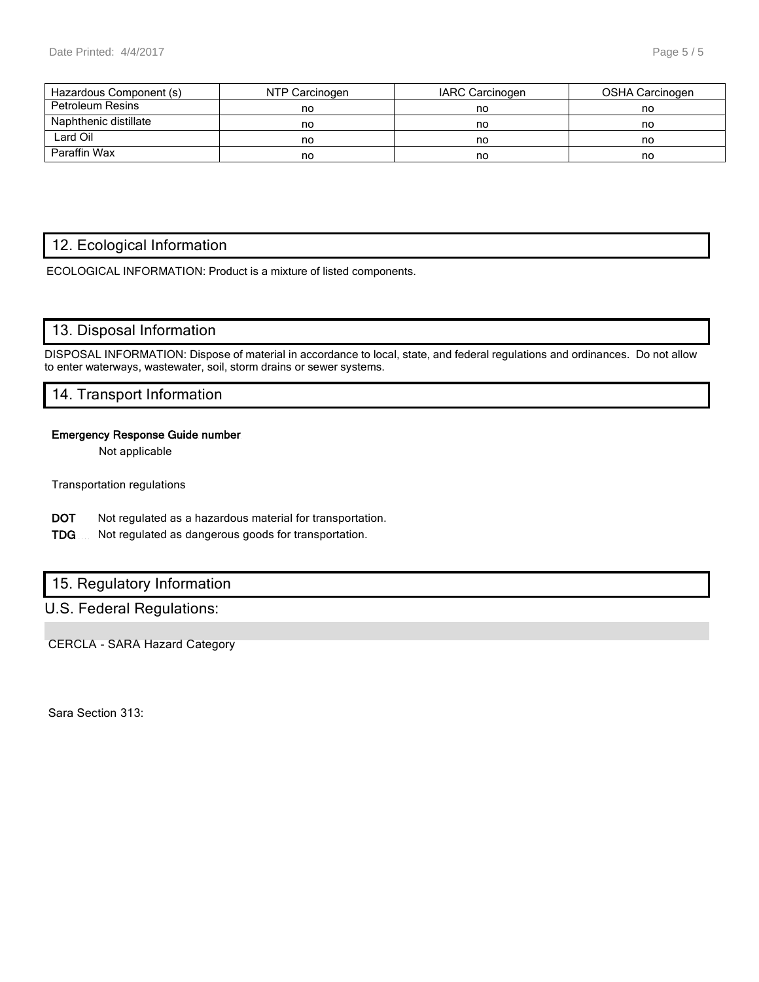| Hazardous Component (s) | NTP Carcinogen | IARC Carcinogen | OSHA Carcinogen |
|-------------------------|----------------|-----------------|-----------------|
| <b>Petroleum Resins</b> | no             | no              | no              |
| Naphthenic distillate   | no             | no              | no              |
| Lard Oil                | no             | no              | no              |
| Paraffin Wax            | no             | no              | no              |

## 12. Ecological Information

ECOLOGICAL INFORMATION: Product is a mixture of listed components.

## 13. Disposal Information

DISPOSAL INFORMATION: Dispose of material in accordance to local, state, and federal regulations and ordinances. Do not allow to enter waterways, wastewater, soil, storm drains or sewer systems.

#### 14. Transport Information

#### Emergency Response Guide number

Not applicable

Transportation regulations

- DOT Not regulated as a hazardous material for transportation.
- TDG Not regulated as dangerous goods for transportation.

## 15. Regulatory Information

## U.S. Federal Regulations:

CERCLA - SARA Hazard Category

Sara Section 313: